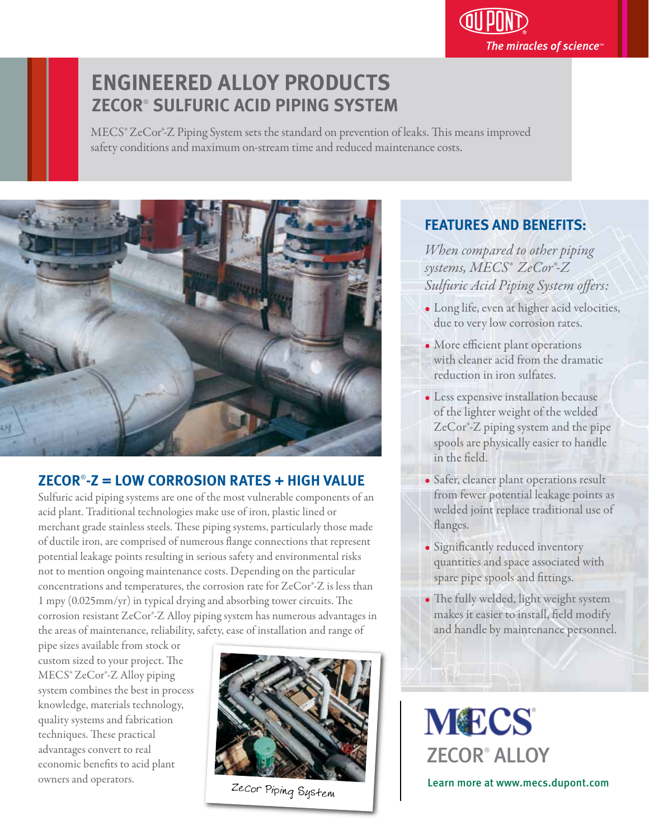# The miracles of science $\mathbb P$

# **ENGINEERED ALLOY PRODUCTS ZECOR**®  **SULFURIC ACID PIPING SYSTEM**

MECS® ZeCor®-Z Piping System sets the standard on prevention of leaks. This means improved safety conditions and maximum on-stream time and reduced maintenance costs.



## **ZECOR**® **-Z = LOW CORROSION RATES + HIGH VALUE**

Sulfuric acid piping systems are one of the most vulnerable components of an acid plant. Traditional technologies make use of iron, plastic lined or merchant grade stainless steels. These piping systems, particularly those made of ductile iron, are comprised of numerous flange connections that represent potential leakage points resulting in serious safety and environmental risks not to mention ongoing maintenance costs. Depending on the particular concentrations and temperatures, the corrosion rate for ZeCor®-Z is less than  $1$  mpy (0.025mm/yr) in typical drying and absorbing tower circuits. The corrosion resistant ZeCor®-Z Alloy piping system has numerous advantages in the areas of maintenance, reliability, safety, ease of installation and range of

pipe sizes available from stock or custom sized to your project. The MECS® ZeCor®-Z Alloy piping system combines the best in process knowledge, materials technology, quality systems and fabrication techniques. These practical advantages convert to real economic benefits to acid plant owners and operators.



ZeCor Piping System

### **FEATURES AND BENEFITS:** j

*When compared to other piping systems, MECS® ZeCor®-Z*  Sulfuric Acid Piping System offers:

- Long life, even at higher acid velocities, due to very low corrosion rates.
- More efficient plant operations with cleaner acid from the dramatic reduction in iron sulfates.
- Less expensive installation because of the lighter weight of the welded ZeCor®-Z piping system and the pipe spools are physically easier to handle in the field.
- Safer, cleaner plant operations result from fewer potential leakage points as welded joint replace traditional use of flanges.
- Significantly reduced inventory quantities and space associated with spare pipe spools and fittings.
- The fully welded, light weight system makes it easier to install, field modify and handle by maintenance personnel.

**MECS** ZECOR® ALLOY Learn more at www.mecs.dupont.com